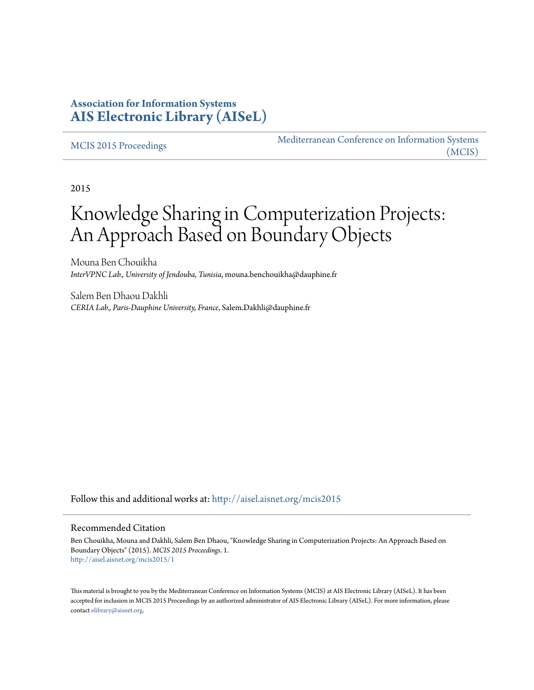# **Association for Information Systems [AIS Electronic Library \(AISeL\)](http://aisel.aisnet.org?utm_source=aisel.aisnet.org%2Fmcis2015%2F1&utm_medium=PDF&utm_campaign=PDFCoverPages)**

#### [MCIS 2015 Proceedings](http://aisel.aisnet.org/mcis2015?utm_source=aisel.aisnet.org%2Fmcis2015%2F1&utm_medium=PDF&utm_campaign=PDFCoverPages)

[Mediterranean Conference on Information Systems](http://aisel.aisnet.org/mcis?utm_source=aisel.aisnet.org%2Fmcis2015%2F1&utm_medium=PDF&utm_campaign=PDFCoverPages) [\(MCIS\)](http://aisel.aisnet.org/mcis?utm_source=aisel.aisnet.org%2Fmcis2015%2F1&utm_medium=PDF&utm_campaign=PDFCoverPages)

2015

# Knowledge Sharing in Computerization Projects: An Approach Based on Boundary Objects

Mouna Ben Chouikha *InterVPNC Lab., University of Jendouba, Tunisia*, mouna.benchouikha@dauphine.fr

Salem Ben Dhaou Dakhli *CERIA Lab., Paris-Dauphine University, France*, Salem.Dakhli@dauphine.fr

Follow this and additional works at: [http://aisel.aisnet.org/mcis2015](http://aisel.aisnet.org/mcis2015?utm_source=aisel.aisnet.org%2Fmcis2015%2F1&utm_medium=PDF&utm_campaign=PDFCoverPages)

#### Recommended Citation

Ben Chouikha, Mouna and Dakhli, Salem Ben Dhaou, "Knowledge Sharing in Computerization Projects: An Approach Based on Boundary Objects" (2015). *MCIS 2015 Proceedings*. 1. [http://aisel.aisnet.org/mcis2015/1](http://aisel.aisnet.org/mcis2015/1?utm_source=aisel.aisnet.org%2Fmcis2015%2F1&utm_medium=PDF&utm_campaign=PDFCoverPages)

This material is brought to you by the Mediterranean Conference on Information Systems (MCIS) at AIS Electronic Library (AISeL). It has been accepted for inclusion in MCIS 2015 Proceedings by an authorized administrator of AIS Electronic Library (AISeL). For more information, please contact [elibrary@aisnet.org.](mailto:elibrary@aisnet.org%3E)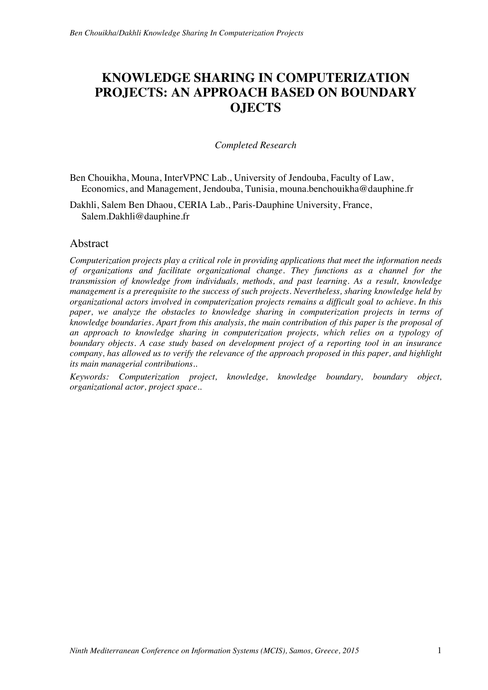# **KNOWLEDGE SHARING IN COMPUTERIZATION PROJECTS: AN APPROACH BASED ON BOUNDARY OJECTS**

#### *Completed Research*

Ben Chouikha, Mouna, InterVPNC Lab., University of Jendouba, Faculty of Law, Economics, and Management, Jendouba, Tunisia, mouna.benchouikha@dauphine.fr

Dakhli, Salem Ben Dhaou, CERIA Lab., Paris-Dauphine University, France, Salem.Dakhli@dauphine.fr

#### Abstract

*Computerization projects play a critical role in providing applications that meet the information needs of organizations and facilitate organizational change. They functions as a channel for the transmission of knowledge from individuals, methods, and past learning. As a result, knowledge management is a prerequisite to the success of such projects. Nevertheless, sharing knowledge held by organizational actors involved in computerization projects remains a difficult goal to achieve. In this paper, we analyze the obstacles to knowledge sharing in computerization projects in terms of knowledge boundaries. Apart from this analysis, the main contribution of this paper is the proposal of an approach to knowledge sharing in computerization projects, which relies on a typology of boundary objects. A case study based on development project of a reporting tool in an insurance company, has allowed us to verify the relevance of the approach proposed in this paper, and highlight its main managerial contributions..* 

*Keywords: Computerization project, knowledge, knowledge boundary, boundary object, organizational actor, project space..*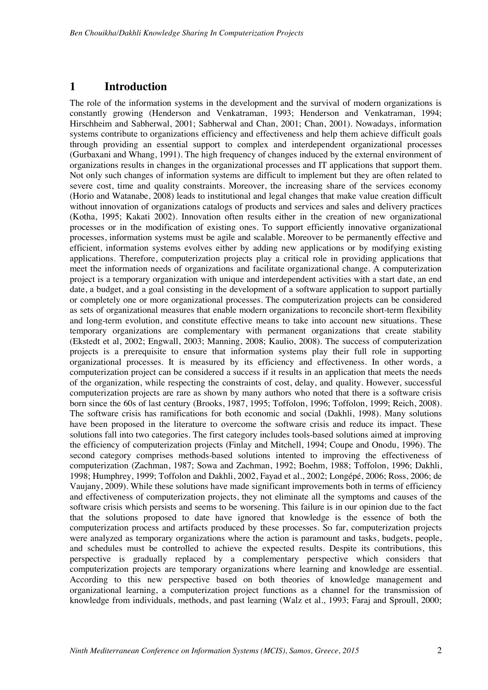# **1 Introduction**

The role of the information systems in the development and the survival of modern organizations is constantly growing (Henderson and Venkatraman, 1993; Henderson and Venkatraman, 1994; Hirschheim and Sabherwal, 2001; Sabherwal and Chan, 2001; Chan, 2001). Nowadays, information systems contribute to organizations efficiency and effectiveness and help them achieve difficult goals through providing an essential support to complex and interdependent organizational processes (Gurbaxani and Whang, 1991). The high frequency of changes induced by the external environment of organizations results in changes in the organizational processes and IT applications that support them. Not only such changes of information systems are difficult to implement but they are often related to severe cost, time and quality constraints. Moreover, the increasing share of the services economy (Horio and Watanabe, 2008) leads to institutional and legal changes that make value creation difficult without innovation of organizations catalogs of products and services and sales and delivery practices (Kotha, 1995; Kakati 2002). Innovation often results either in the creation of new organizational processes or in the modification of existing ones. To support efficiently innovative organizational processes, information systems must be agile and scalable. Moreover to be permanently effective and efficient, information systems evolves either by adding new applications or by modifying existing applications. Therefore, computerization projects play a critical role in providing applications that meet the information needs of organizations and facilitate organizational change. A computerization project is a temporary organization with unique and interdependent activities with a start date, an end date, a budget, and a goal consisting in the development of a software application to support partially or completely one or more organizational processes. The computerization projects can be considered as sets of organizational measures that enable modern organizations to reconcile short-term flexibility and long-term evolution, and constitute effective means to take into account new situations. These temporary organizations are complementary with permanent organizations that create stability (Ekstedt et al, 2002; Engwall, 2003; Manning, 2008; Kaulio, 2008). The success of computerization projects is a prerequisite to ensure that information systems play their full role in supporting organizational processes. It is measured by its efficiency and effectiveness. In other words, a computerization project can be considered a success if it results in an application that meets the needs of the organization, while respecting the constraints of cost, delay, and quality. However, successful computerization projects are rare as shown by many authors who noted that there is a software crisis born since the 60s of last century (Brooks, 1987, 1995; Toffolon, 1996; Toffolon, 1999; Reich, 2008). The software crisis has ramifications for both economic and social (Dakhli, 1998). Many solutions have been proposed in the literature to overcome the software crisis and reduce its impact. These solutions fall into two categories. The first category includes tools-based solutions aimed at improving the efficiency of computerization projects (Finlay and Mitchell, 1994; Coupe and Onodu, 1996). The second category comprises methods-based solutions intented to improving the effectiveness of computerization (Zachman, 1987; Sowa and Zachman, 1992; Boehm, 1988; Toffolon, 1996; Dakhli, 1998; Humphrey, 1999; Toffolon and Dakhli, 2002, Fayad et al., 2002; Longépé, 2006; Ross, 2006; de Vaujany, 2009). While these solutions have made significant improvements both in terms of efficiency and effectiveness of computerization projects, they not eliminate all the symptoms and causes of the software crisis which persists and seems to be worsening. This failure is in our opinion due to the fact that the solutions proposed to date have ignored that knowledge is the essence of both the computerization process and artifacts produced by these processes. So far, computerization projects were analyzed as temporary organizations where the action is paramount and tasks, budgets, people, and schedules must be controlled to achieve the expected results. Despite its contributions, this perspective is gradually replaced by a complementary perspective which considers that computerization projects are temporary organizations where learning and knowledge are essential. According to this new perspective based on both theories of knowledge management and organizational learning, a computerization project functions as a channel for the transmission of knowledge from individuals, methods, and past learning (Walz et al., 1993; Faraj and Sproull, 2000;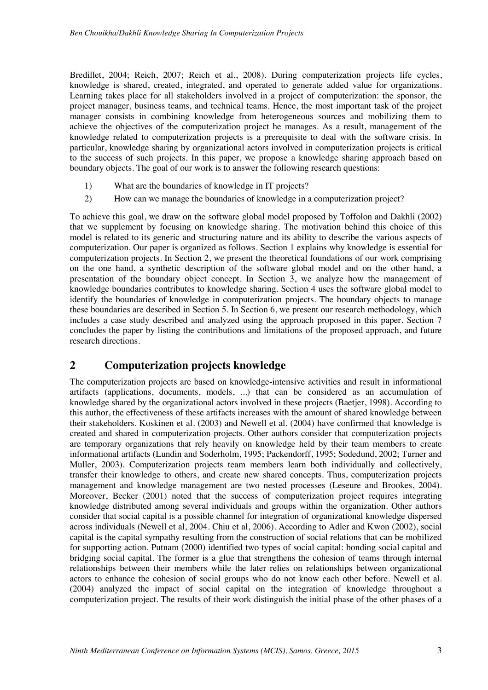Bredillet, 2004; Reich, 2007; Reich et al., 2008). During computerization projects life cycles, knowledge is shared, created, integrated, and operated to generate added value for organizations. Learning takes place for all stakeholders involved in a project of computerization: the sponsor, the project manager, business teams, and technical teams. Hence, the most important task of the project manager consists in combining knowledge from heterogeneous sources and mobilizing them to achieve the objectives of the computerization project he manages. As a result, management of the knowledge related to computerization projects is a prerequisite to deal with the software crisis. In particular, knowledge sharing by organizational actors involved in computerization projects is critical to the success of such projects. In this paper, we propose a knowledge sharing approach based on boundary objects. The goal of our work is to answer the following research questions:

- 1) What are the boundaries of knowledge in IT projects?
- 2) How can we manage the boundaries of knowledge in a computerization project?

To achieve this goal, we draw on the software global model proposed by Toffolon and Dakhli (2002) that we supplement by focusing on knowledge sharing. The motivation behind this choice of this model is related to its generic and structuring nature and its ability to describe the various aspects of computerization. Our paper is organized as follows. Section 1 explains why knowledge is essential for computerization projects. In Section 2, we present the theoretical foundations of our work comprising on the one hand, a synthetic description of the software global model and on the other hand, a presentation of the boundary object concept. In Section 3, we analyze how the management of knowledge boundaries contributes to knowledge sharing. Section 4 uses the software global model to identify the boundaries of knowledge in computerization projects. The boundary objects to manage these boundaries are described in Section 5. In Section 6, we present our research methodology, which includes a case study described and analyzed using the approach proposed in this paper. Section 7 concludes the paper by listing the contributions and limitations of the proposed approach, and future research directions.

# **2 Computerization projects knowledge**

The computerization projects are based on knowledge-intensive activities and result in informational artifacts (applications, documents, models, ...) that can be considered as an accumulation of knowledge shared by the organizational actors involved in these projects (Baetjer, 1998). According to this author, the effectiveness of these artifacts increases with the amount of shared knowledge between their stakeholders. Koskinen et al. (2003) and Newell et al. (2004) have confirmed that knowledge is created and shared in computerization projects. Other authors consider that computerization projects are temporary organizations that rely heavily on knowledge held by their team members to create informational artifacts (Lundin and Soderholm, 1995; Packendorff, 1995; Sodedund, 2002; Turner and Muller, 2003). Computerization projects team members learn both individually and collectively, transfer their knowledge to others, and create new shared concepts. Thus, computerization projects management and knowledge management are two nested processes (Leseure and Brookes, 2004). Moreover, Becker (2001) noted that the success of computerization project requires integrating knowledge distributed among several individuals and groups within the organization. Other authors consider that social capital is a possible channel for integration of organizational knowledge dispersed across individuals (Newell et al, 2004. Chiu et al, 2006). According to Adler and Kwon (2002), social capital is the capital sympathy resulting from the construction of social relations that can be mobilized for supporting action. Putnam (2000) identified two types of social capital: bonding social capital and bridging social capital. The former is a glue that strengthens the cohesion of teams through internal relationships between their members while the later relies on relationships between organizational actors to enhance the cohesion of social groups who do not know each other before. Newell et al. (2004) analyzed the impact of social capital on the integration of knowledge throughout a computerization project. The results of their work distinguish the initial phase of the other phases of a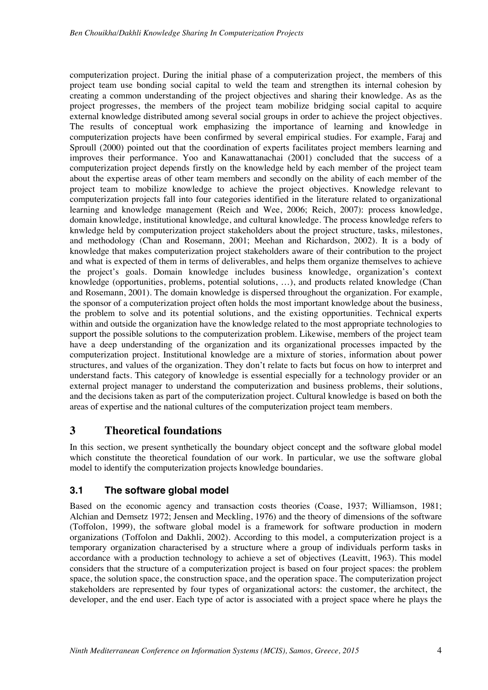computerization project. During the initial phase of a computerization project, the members of this project team use bonding social capital to weld the team and strengthen its internal cohesion by creating a common understanding of the project objectives and sharing their knowledge. As as the project progresses, the members of the project team mobilize bridging social capital to acquire external knowledge distributed among several social groups in order to achieve the project objectives. The results of conceptual work emphasizing the importance of learning and knowledge in computerization projects have been confirmed by several empirical studies. For example, Faraj and Sproull (2000) pointed out that the coordination of experts facilitates project members learning and improves their performance. Yoo and Kanawattanachai (2001) concluded that the success of a computerization project depends firstly on the knowledge held by each member of the project team about the expertise areas of other team members and secondly on the ability of each member of the project team to mobilize knowledge to achieve the project objectives. Knowledge relevant to computerization projects fall into four categories identified in the literature related to organizational learning and knowledge management (Reich and Wee, 2006; Reich, 2007): process knowledge, domain knowledge, institutional knowledge, and cultural knowledge. The process knowledge refers to knwledge held by computerization project stakeholders about the project structure, tasks, milestones, and methodology (Chan and Rosemann, 2001; Meehan and Richardson, 2002). It is a body of knowledge that makes computerization project stakeholders aware of their contribution to the project and what is expected of them in terms of deliverables, and helps them organize themselves to achieve the project's goals. Domain knowledge includes business knowledge, organization's context knowledge (opportunities, problems, potential solutions, …), and products related knowledge (Chan and Rosemann, 2001). The domain knowledge is dispersed throughout the organization. For example, the sponsor of a computerization project often holds the most important knowledge about the business, the problem to solve and its potential solutions, and the existing opportunities. Technical experts within and outside the organization have the knowledge related to the most appropriate technologies to support the possible solutions to the computerization problem. Likewise, members of the project team have a deep understanding of the organization and its organizational processes impacted by the computerization project. Institutional knowledge are a mixture of stories, information about power structures, and values of the organization. They don't relate to facts but focus on how to interpret and understand facts. This category of knowledge is essential especially for a technology provider or an external project manager to understand the computerization and business problems, their solutions, and the decisions taken as part of the computerization project. Cultural knowledge is based on both the areas of expertise and the national cultures of the computerization project team members.

# **3 Theoretical foundations**

In this section, we present synthetically the boundary object concept and the software global model which constitute the theoretical foundation of our work. In particular, we use the software global model to identify the computerization projects knowledge boundaries.

# **3.1 The software global model**

Based on the economic agency and transaction costs theories (Coase, 1937; Williamson, 1981; Alchian and Demsetz 1972; Jensen and Meckling, 1976) and the theory of dimensions of the software (Toffolon, 1999), the software global model is a framework for software production in modern organizations (Toffolon and Dakhli, 2002). According to this model, a computerization project is a temporary organization characterised by a structure where a group of individuals perform tasks in accordance with a production technology to achieve a set of objectives (Leavitt, 1963). This model considers that the structure of a computerization project is based on four project spaces: the problem space, the solution space, the construction space, and the operation space. The computerization project stakeholders are represented by four types of organizational actors: the customer, the architect, the developer, and the end user. Each type of actor is associated with a project space where he plays the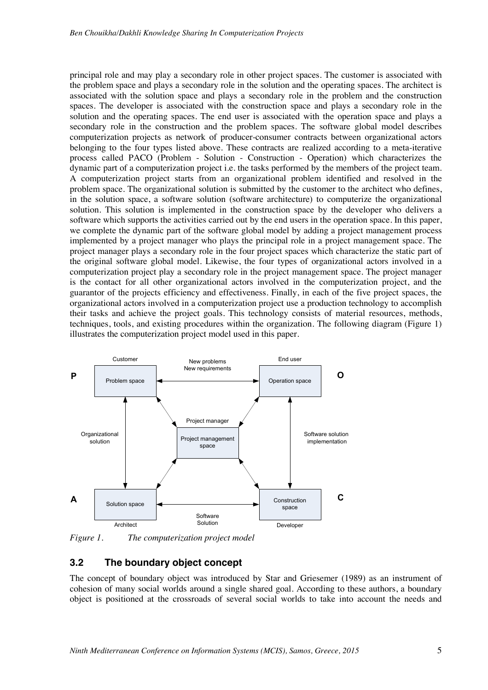principal role and may play a secondary role in other project spaces. The customer is associated with the problem space and plays a secondary role in the solution and the operating spaces. The architect is associated with the solution space and plays a secondary role in the problem and the construction spaces. The developer is associated with the construction space and plays a secondary role in the solution and the operating spaces. The end user is associated with the operation space and plays a secondary role in the construction and the problem spaces. The software global model describes computerization projects as network of producer-consumer contracts between organizational actors belonging to the four types listed above. These contracts are realized according to a meta-iterative process called PACO (Problem - Solution - Construction - Operation) which characterizes the dynamic part of a computerization project i.e. the tasks performed by the members of the project team. A computerization project starts from an organizational problem identified and resolved in the problem space. The organizational solution is submitted by the customer to the architect who defines, in the solution space, a software solution (software architecture) to computerize the organizational solution. This solution is implemented in the construction space by the developer who delivers a software which supports the activities carried out by the end users in the operation space. In this paper, we complete the dynamic part of the software global model by adding a project management process implemented by a project manager who plays the principal role in a project management space. The project manager plays a secondary role in the four project spaces which characterize the static part of the original software global model. Likewise, the four types of organizational actors involved in a computerization project play a secondary role in the project management space. The project manager is the contact for all other organizational actors involved in the computerization project, and the guarantor of the projects efficiency and effectiveness. Finally, in each of the five project spaces, the organizational actors involved in a computerization project use a production technology to accomplish their tasks and achieve the project goals. This technology consists of material resources, methods, techniques, tools, and existing procedures within the organization. The following diagram (Figure 1) illustrates the computerization project model used in this paper.



*Figure 1. The computerization project model* 

# **3.2 The boundary object concept**

The concept of boundary object was introduced by Star and Griesemer (1989) as an instrument of cohesion of many social worlds around a single shared goal. According to these authors, a boundary object is positioned at the crossroads of several social worlds to take into account the needs and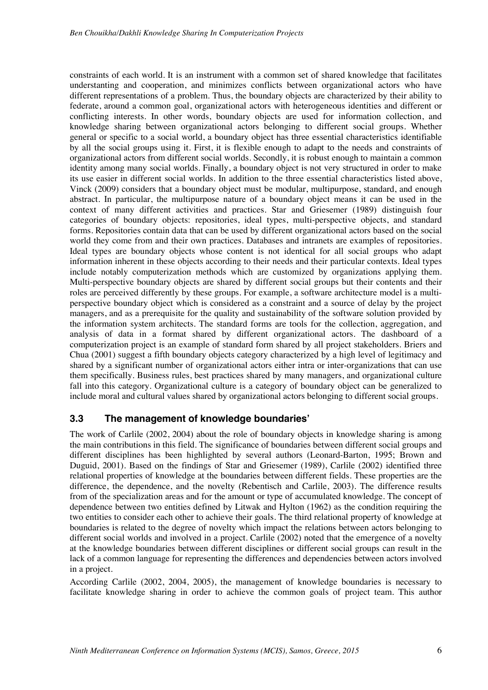constraints of each world. It is an instrument with a common set of shared knowledge that facilitates understanting and cooperation, and minimizes conflicts between organizational actors who have different representations of a problem. Thus, the boundary objects are characterized by their ability to federate, around a common goal, organizational actors with heterogeneous identities and different or conflicting interests. In other words, boundary objects are used for information collection, and knowledge sharing between organizational actors belonging to different social groups. Whether general or specific to a social world, a boundary object has three essential characteristics identifiable by all the social groups using it. First, it is flexible enough to adapt to the needs and constraints of organizational actors from different social worlds. Secondly, it is robust enough to maintain a common identity among many social worlds. Finally, a boundary object is not very structured in order to make its use easier in different social worlds. In addition to the three essential characteristics listed above, Vinck (2009) considers that a boundary object must be modular, multipurpose, standard, and enough abstract. In particular, the multipurpose nature of a boundary object means it can be used in the context of many different activities and practices. Star and Griesemer (1989) distinguish four categories of boundary objects: repositories, ideal types, multi-perspective objects, and standard forms. Repositories contain data that can be used by different organizational actors based on the social world they come from and their own practices. Databases and intranets are examples of repositories. Ideal types are boundary objects whose content is not identical for all social groups who adapt information inherent in these objects according to their needs and their particular contexts. Ideal types include notably computerization methods which are customized by organizations applying them. Multi-perspective boundary objects are shared by different social groups but their contents and their roles are perceived differently by these groups. For example, a software architecture model is a multiperspective boundary object which is considered as a constraint and a source of delay by the project managers, and as a prerequisite for the quality and sustainability of the software solution provided by the information system architects. The standard forms are tools for the collection, aggregation, and analysis of data in a format shared by different organizational actors. The dashboard of a computerization project is an example of standard form shared by all project stakeholders. Briers and Chua (2001) suggest a fifth boundary objects category characterized by a high level of legitimacy and shared by a significant number of organizational actors either intra or inter-organizations that can use them specifically. Business rules, best practices shared by many managers, and organizational culture fall into this category. Organizational culture is a category of boundary object can be generalized to include moral and cultural values shared by organizational actors belonging to different social groups.

#### **3.3 The management of knowledge boundaries'**

The work of Carlile (2002, 2004) about the role of boundary objects in knowledge sharing is among the main contributions in this field. The significance of boundaries between different social groups and different disciplines has been highlighted by several authors (Leonard-Barton, 1995; Brown and Duguid, 2001). Based on the findings of Star and Griesemer (1989), Carlile (2002) identified three relational properties of knowledge at the boundaries between different fields. These properties are the difference, the dependence, and the novelty (Rebentisch and Carlile, 2003). The difference results from of the specialization areas and for the amount or type of accumulated knowledge. The concept of dependence between two entities defined by Litwak and Hylton (1962) as the condition requiring the two entities to consider each other to achieve their goals. The third relational property of knowledge at boundaries is related to the degree of novelty which impact the relations between actors belonging to different social worlds and involved in a project. Carlile (2002) noted that the emergence of a novelty at the knowledge boundaries between different disciplines or different social groups can result in the lack of a common language for representing the differences and dependencies between actors involved in a project.

According Carlile (2002, 2004, 2005), the management of knowledge boundaries is necessary to facilitate knowledge sharing in order to achieve the common goals of project team. This author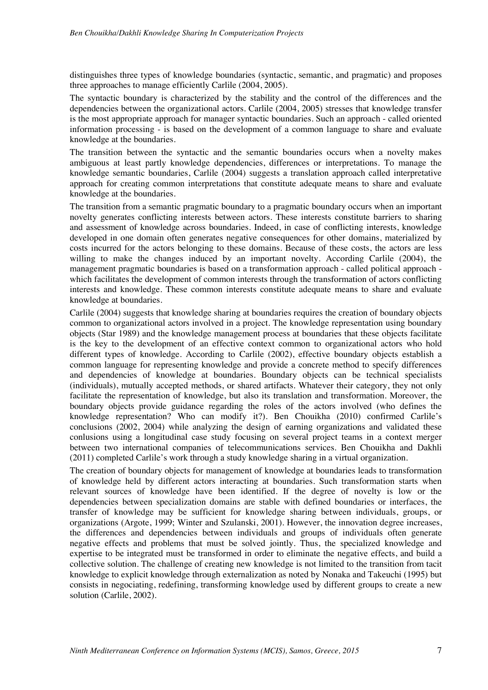distinguishes three types of knowledge boundaries (syntactic, semantic, and pragmatic) and proposes three approaches to manage efficiently Carlile (2004, 2005).

The syntactic boundary is characterized by the stability and the control of the differences and the dependencies between the organizational actors. Carlile (2004, 2005) stresses that knowledge transfer is the most appropriate approach for manager syntactic boundaries. Such an approach - called oriented information processing - is based on the development of a common language to share and evaluate knowledge at the boundaries.

The transition between the syntactic and the semantic boundaries occurs when a novelty makes ambiguous at least partly knowledge dependencies, differences or interpretations. To manage the knowledge semantic boundaries, Carlile (2004) suggests a translation approach called interpretative approach for creating common interpretations that constitute adequate means to share and evaluate knowledge at the boundaries.

The transition from a semantic pragmatic boundary to a pragmatic boundary occurs when an important novelty generates conflicting interests between actors. These interests constitute barriers to sharing and assessment of knowledge across boundaries. Indeed, in case of conflicting interests, knowledge developed in one domain often generates negative consequences for other domains, materialized by costs incurred for the actors belonging to these domains. Because of these costs, the actors are less willing to make the changes induced by an important novelty. According Carlile (2004), the management pragmatic boundaries is based on a transformation approach - called political approach which facilitates the development of common interests through the transformation of actors conflicting interests and knowledge. These common interests constitute adequate means to share and evaluate knowledge at boundaries.

Carlile (2004) suggests that knowledge sharing at boundaries requires the creation of boundary objects common to organizational actors involved in a project. The knowledge representation using boundary objects (Star 1989) and the knowledge management process at boundaries that these objects facilitate is the key to the development of an effective context common to organizational actors who hold different types of knowledge. According to Carlile (2002), effective boundary objects establish a common language for representing knowledge and provide a concrete method to specify differences and dependencies of knowledge at boundaries. Boundary objects can be technical specialists (individuals), mutually accepted methods, or shared artifacts. Whatever their category, they not only facilitate the representation of knowledge, but also its translation and transformation. Moreover, the boundary objects provide guidance regarding the roles of the actors involved (who defines the knowledge representation? Who can modify it?). Ben Chouikha (2010) confirmed Carlile's conclusions (2002, 2004) while analyzing the design of earning organizations and validated these conlusions using a longitudinal case study focusing on several project teams in a context merger between two international companies of telecommunications services. Ben Chouikha and Dakhli (2011) completed Carlile's work through a study knowledge sharing in a virtual organization.

The creation of boundary objects for management of knowledge at boundaries leads to transformation of knowledge held by different actors interacting at boundaries. Such transformation starts when relevant sources of knowledge have been identified. If the degree of novelty is low or the dependencies between specialization domains are stable with defined boundaries or interfaces, the transfer of knowledge may be sufficient for knowledge sharing between individuals, groups, or organizations (Argote, 1999; Winter and Szulanski, 2001). However, the innovation degree increases, the differences and dependencies between individuals and groups of individuals often generate negative effects and problems that must be solved jointly. Thus, the specialized knowledge and expertise to be integrated must be transformed in order to eliminate the negative effects, and build a collective solution. The challenge of creating new knowledge is not limited to the transition from tacit knowledge to explicit knowledge through externalization as noted by Nonaka and Takeuchi (1995) but consists in negociating, redefining, transforming knowledge used by different groups to create a new solution (Carlile, 2002).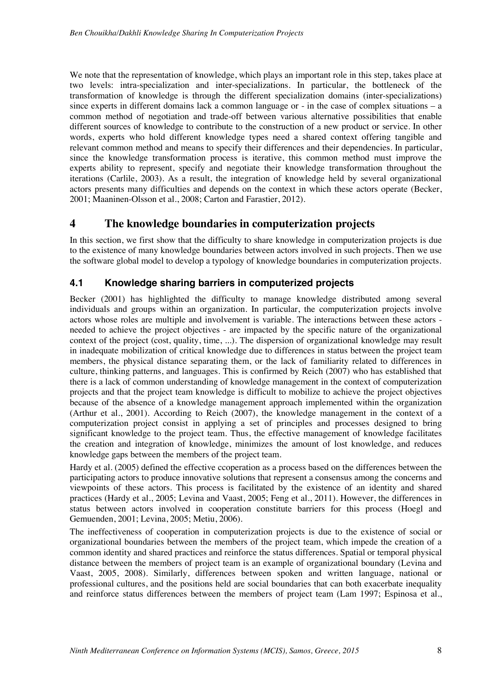We note that the representation of knowledge, which plays an important role in this step, takes place at two levels: intra-specialization and inter-specializations. In particular, the bottleneck of the transformation of knowledge is through the different specialization domains (inter-specializations) since experts in different domains lack a common language or - in the case of complex situations – a common method of negotiation and trade-off between various alternative possibilities that enable different sources of knowledge to contribute to the construction of a new product or service. In other words, experts who hold different knowledge types need a shared context offering tangible and relevant common method and means to specify their differences and their dependencies. In particular, since the knowledge transformation process is iterative, this common method must improve the experts ability to represent, specify and negotiate their knowledge transformation throughout the iterations (Carlile, 2003). As a result, the integration of knowledge held by several organizational actors presents many difficulties and depends on the context in which these actors operate (Becker, 2001; Maaninen-Olsson et al., 2008; Carton and Farastier, 2012).

# **4 The knowledge boundaries in computerization projects**

In this section, we first show that the difficulty to share knowledge in computerization projects is due to the existence of many knowledge boundaries between actors involved in such projects. Then we use the software global model to develop a typology of knowledge boundaries in computerization projects.

# **4.1 Knowledge sharing barriers in computerized projects**

Becker (2001) has highlighted the difficulty to manage knowledge distributed among several individuals and groups within an organization. In particular, the computerization projects involve actors whose roles are multiple and involvement is variable. The interactions between these actors needed to achieve the project objectives - are impacted by the specific nature of the organizational context of the project (cost, quality, time, ...). The dispersion of organizational knowledge may result in inadequate mobilization of critical knowledge due to differences in status between the project team members, the physical distance separating them, or the lack of familiarity related to differences in culture, thinking patterns, and languages. This is confirmed by Reich (2007) who has established that there is a lack of common understanding of knowledge management in the context of computerization projects and that the project team knowledge is difficult to mobilize to achieve the project objectives because of the absence of a knowledge management approach implemented within the organization (Arthur et al., 2001). According to Reich (2007), the knowledge management in the context of a computerization project consist in applying a set of principles and processes designed to bring significant knowledge to the project team. Thus, the effective management of knowledge facilitates the creation and integration of knowledge, minimizes the amount of lost knowledge, and reduces knowledge gaps between the members of the project team.

Hardy et al. (2005) defined the effective ccoperation as a process based on the differences between the participating actors to produce innovative solutions that represent a consensus among the concerns and viewpoints of these actors. This process is facilitated by the existence of an identity and shared practices (Hardy et al., 2005; Levina and Vaast, 2005; Feng et al., 2011). However, the differences in status between actors involved in cooperation constitute barriers for this process (Hoegl and Gemuenden, 2001; Levina, 2005; Metiu, 2006).

The ineffectiveness of cooperation in computerization projects is due to the existence of social or organizational boundaries between the members of the project team, which impede the creation of a common identity and shared practices and reinforce the status differences. Spatial or temporal physical distance between the members of project team is an example of organizational boundary (Levina and Vaast, 2005, 2008). Similarly, differences between spoken and written language, national or professional cultures, and the positions held are social boundaries that can both exacerbate inequality and reinforce status differences between the members of project team (Lam 1997; Espinosa et al.,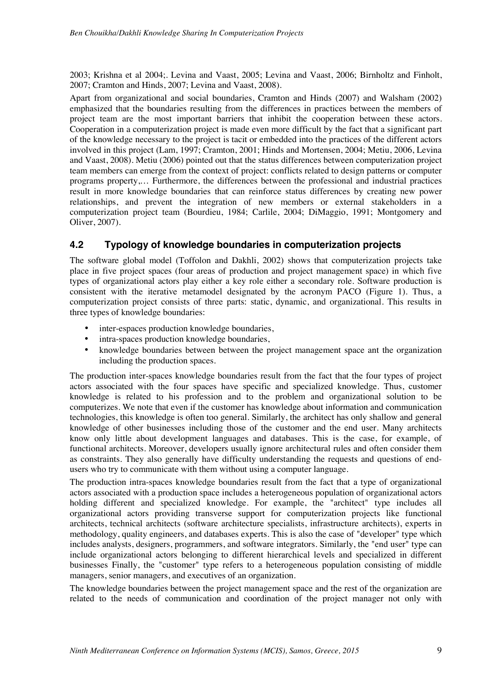2003; Krishna et al 2004;. Levina and Vaast, 2005; Levina and Vaast, 2006; Birnholtz and Finholt, 2007; Cramton and Hinds, 2007; Levina and Vaast, 2008).

Apart from organizational and social boundaries, Cramton and Hinds (2007) and Walsham (2002) emphasized that the boundaries resulting from the differences in practices between the members of project team are the most important barriers that inhibit the cooperation between these actors. Cooperation in a computerization project is made even more difficult by the fact that a significant part of the knowledge necessary to the project is tacit or embedded into the practices of the different actors involved in this project (Lam, 1997; Cramton, 2001; Hinds and Mortensen, 2004; Metiu, 2006, Levina and Vaast, 2008). Metiu (2006) pointed out that the status differences between computerization project team members can emerge from the context of project: conflicts related to design patterns or computer programs property,… Furthermore, the differences between the professional and industrial practices result in more knowledge boundaries that can reinforce status differences by creating new power relationships, and prevent the integration of new members or external stakeholders in a computerization project team (Bourdieu, 1984; Carlile, 2004; DiMaggio, 1991; Montgomery and Oliver, 2007).

# **4.2 Typology of knowledge boundaries in computerization projects**

The software global model (Toffolon and Dakhli, 2002) shows that computerization projects take place in five project spaces (four areas of production and project management space) in which five types of organizational actors play either a key role either a secondary role. Software production is consistent with the iterative metamodel designated by the acronym PACO (Figure 1). Thus, a computerization project consists of three parts: static, dynamic, and organizational. This results in three types of knowledge boundaries:

- inter-espaces production knowledge boundaries,
- intra-spaces production knowledge boundaries,
- knowledge boundaries between between the project management space ant the organization including the production spaces.

The production inter-spaces knowledge boundaries result from the fact that the four types of project actors associated with the four spaces have specific and specialized knowledge. Thus, customer knowledge is related to his profession and to the problem and organizational solution to be computerizes. We note that even if the customer has knowledge about information and communication technologies, this knowledge is often too general. Similarly, the architect has only shallow and general knowledge of other businesses including those of the customer and the end user. Many architects know only little about development languages and databases. This is the case, for example, of functional architects. Moreover, developers usually ignore architectural rules and often consider them as constraints. They also generally have difficulty understanding the requests and questions of endusers who try to communicate with them without using a computer language.

The production intra-spaces knowledge boundaries result from the fact that a type of organizational actors associated with a production space includes a heterogeneous population of organizational actors holding different and specialized knowledge. For example, the "architect" type includes all organizational actors providing transverse support for computerization projects like functional architects, technical architects (software architecture specialists, infrastructure architects), experts in methodology, quality engineers, and databases experts. This is also the case of "developer" type which includes analysts, designers, programmers, and software integrators. Similarly, the "end user" type can include organizational actors belonging to different hierarchical levels and specialized in different businesses Finally, the "customer" type refers to a heterogeneous population consisting of middle managers, senior managers, and executives of an organization.

The knowledge boundaries between the project management space and the rest of the organization are related to the needs of communication and coordination of the project manager not only with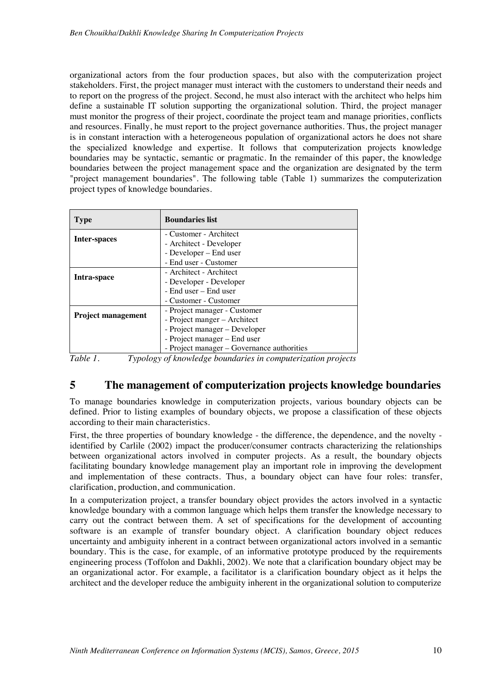organizational actors from the four production spaces, but also with the computerization project stakeholders. First, the project manager must interact with the customers to understand their needs and to report on the progress of the project. Second, he must also interact with the architect who helps him define a sustainable IT solution supporting the organizational solution. Third, the project manager must monitor the progress of their project, coordinate the project team and manage priorities, conflicts and resources. Finally, he must report to the project governance authorities. Thus, the project manager is in constant interaction with a heterogeneous population of organizational actors he does not share the specialized knowledge and expertise. It follows that computerization projects knowledge boundaries may be syntactic, semantic or pragmatic. In the remainder of this paper, the knowledge boundaries between the project management space and the organization are designated by the term "project management boundaries". The following table (Table 1) summarizes the computerization project types of knowledge boundaries.

| <b>Type</b>               | <b>Boundaries list</b>                     |  |  |
|---------------------------|--------------------------------------------|--|--|
| Inter-spaces              | - Customer - Architect                     |  |  |
|                           | - Architect - Developer                    |  |  |
|                           | - Developer – End user                     |  |  |
|                           | - End user - Customer                      |  |  |
| Intra-space               | - Architect - Architect                    |  |  |
|                           | - Developer - Developer                    |  |  |
|                           | - End user – End user                      |  |  |
|                           | - Customer - Customer                      |  |  |
| <b>Project management</b> | - Project manager - Customer               |  |  |
|                           | - Project manger – Architect               |  |  |
|                           | - Project manager – Developer              |  |  |
|                           | - Project manager – End user               |  |  |
|                           | - Project manager - Governance authorities |  |  |

*Table 1. Typology of knowledge boundaries in computerization projects* 

# **5 The management of computerization projects knowledge boundaries**

To manage boundaries knowledge in computerization projects, various boundary objects can be defined. Prior to listing examples of boundary objects, we propose a classification of these objects according to their main characteristics.

First, the three properties of boundary knowledge - the difference, the dependence, and the novelty identified by Carlile (2002) impact the producer/consumer contracts characterizing the relationships between organizational actors involved in computer projects. As a result, the boundary objects facilitating boundary knowledge management play an important role in improving the development and implementation of these contracts. Thus, a boundary object can have four roles: transfer, clarification, production, and communication.

In a computerization project, a transfer boundary object provides the actors involved in a syntactic knowledge boundary with a common language which helps them transfer the knowledge necessary to carry out the contract between them. A set of specifications for the development of accounting software is an example of transfer boundary object. A clarification boundary object reduces uncertainty and ambiguity inherent in a contract between organizational actors involved in a semantic boundary. This is the case, for example, of an informative prototype produced by the requirements engineering process (Toffolon and Dakhli, 2002). We note that a clarification boundary object may be an organizational actor. For example, a facilitator is a clarification boundary object as it helps the architect and the developer reduce the ambiguity inherent in the organizational solution to computerize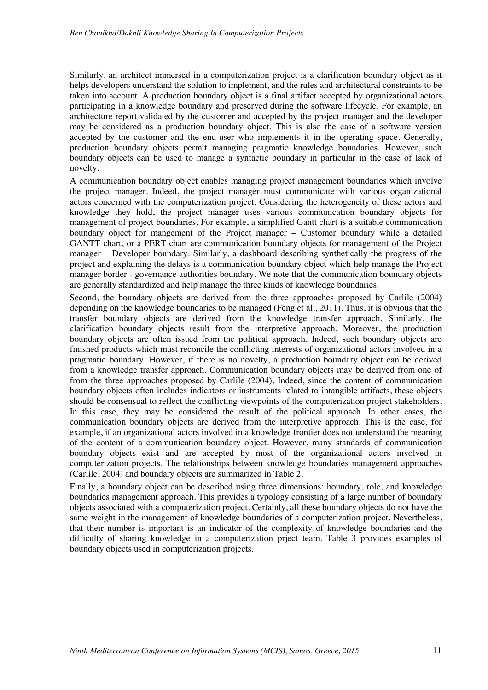Similarly, an architect immersed in a computerization project is a clarification boundary object as it helps developers understand the solution to implement, and the rules and architectural constraints to be taken into account. A production boundary object is a final artifact accepted by organizational actors participating in a knowledge boundary and preserved during the software lifecycle. For example, an architecture report validated by the customer and accepted by the project manager and the developer may be considered as a production boundary object. This is also the case of a software version accepted by the customer and the end-user who implements it in the operating space. Generally, production boundary objects permit managing pragmatic knowledge boundaries. However, such boundary objects can be used to manage a syntactic boundary in particular in the case of lack of novelty.

A communication boundary object enables managing project management boundaries which involve the project manager. Indeed, the project manager must communicate with various organizational actors concerned with the computerization project. Considering the heterogeneity of these actors and knowledge they hold, the project manager uses various communication boundary objects for management of project boundaries. For example, a simplified Gantt chart is a suitable communication boundary object for mangement of the Project manager – Customer boundary while a detailed GANTT chart, or a PERT chart are communication boundary objects for management of the Project manager – Developer boundary. Similarly, a dashboard describing synthetically the progress of the project and explaining the delays is a communication boundary object which help manage the Project manager border - governance authorities boundary. We note that the communication boundary objects are generally standardized and help manage the three kinds of knowledge boundaries.

Second, the boundary objects are derived from the three approaches proposed by Carlile (2004) depending on the knowledge boundaries to be managed (Feng et al., 2011). Thus, it is obvious that the transfer boundary objects are derived from the knowledge transfer approach. Similarly, the clarification boundary objects result from the interpretive approach. Moreover, the production boundary objects are often issued from the political approach. Indeed, such boundary objects are finished products which must reconcile the conflicting interests of organizational actors involved in a pragmatic boundary. However, if there is no novelty, a production boundary object can be derived from a knowledge transfer approach. Communication boundary objects may be derived from one of from the three approaches proposed by Carlile (2004). Indeed, since the content of communication boundary objects often includes indicators or instruments related to intangible artifacts, these objects should be consensual to reflect the conflicting viewpoints of the computerization project stakeholders. In this case, they may be considered the result of the political approach. In other cases, the communication boundary objects are derived from the interpretive approach. This is the case, for example, if an organizational actors involved in a knowledge frontier does not understand the meaning of the content of a communication boundary object. However, many standards of communication boundary objects exist and are accepted by most of the organizational actors involved in computerization projects. The relationships between knowledge boundaries management approaches (Carlile, 2004) and boundary objects are summarized in Table 2.

Finally, a boundary object can be described using three dimensions: boundary, role, and knowledge boundaries management approach. This provides a typology consisting of a large number of boundary objects associated with a computerization project. Certainly, all these boundary objects do not have the same weight in the management of knowledge boundaries of a computerization project. Nevertheless, that their number is important is an indicator of the complexity of knowledge boundaries and the difficulty of sharing knowledge in a computerization prject team. Table 3 provides examples of boundary objects used in computerization projects.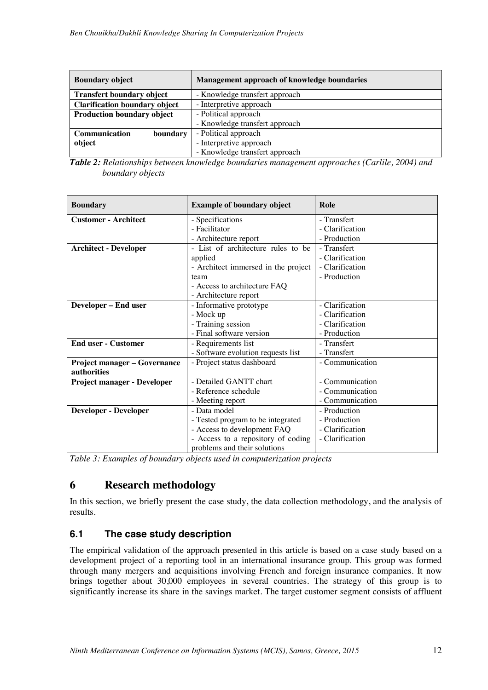| <b>Boundary object</b>               | Management approach of knowledge boundaries |
|--------------------------------------|---------------------------------------------|
| <b>Transfert boundary object</b>     | - Knowledge transfert approach              |
| <b>Clarification boundary object</b> | - Interpretive approach                     |
| <b>Production boundary object</b>    | - Political approach                        |
|                                      | - Knowledge transfert approach              |
| Communication<br>boundary            | - Political approach                        |
| object                               | - Interpretive approach                     |
|                                      | - Knowledge transfert approach              |

*Table 2: Relationships between knowledge boundaries management approaches (Carlile, 2004) and boundary objects* 

| <b>Boundary</b>                     | <b>Example of boundary object</b>   | Role            |
|-------------------------------------|-------------------------------------|-----------------|
| <b>Customer - Architect</b>         | - Specifications                    | - Transfert     |
|                                     | - Facilitator                       | - Clarification |
|                                     | - Architecture report               | - Production    |
| <b>Architect - Developer</b>        | - List of architecture rules to be  | - Transfert     |
|                                     | applied                             | - Clarification |
|                                     | - Architect immersed in the project | - Clarification |
|                                     | team                                | - Production    |
|                                     | - Access to architecture FAQ        |                 |
|                                     | - Architecture report               |                 |
| Developer - End user                | - Informative prototype             | - Clarification |
|                                     | - Mock up                           | - Clarification |
|                                     | - Training session                  | - Clarification |
|                                     | - Final software version            | - Production    |
| <b>End user - Customer</b>          | - Requirements list                 | - Transfert     |
|                                     | - Software evolution requests list  | - Transfert     |
| <b>Project manager - Governance</b> | - Project status dashboard          | - Communication |
| authorities                         |                                     |                 |
| <b>Project manager - Developer</b>  | - Detailed GANTT chart              | - Communication |
|                                     | - Reference schedule                | - Communication |
|                                     | - Meeting report                    | - Communication |
| <b>Developer - Developer</b>        | - Data model                        | - Production    |
|                                     | - Tested program to be integrated   | - Production    |
|                                     | - Access to development FAQ         | - Clarification |
|                                     | - Access to a repository of coding  | - Clarification |
|                                     | problems and their solutions        |                 |

*Table 3: Examples of boundary objects used in computerization projects* 

# **6 Research methodology**

In this section, we briefly present the case study, the data collection methodology, and the analysis of results.

# **6.1 The case study description**

The empirical validation of the approach presented in this article is based on a case study based on a development project of a reporting tool in an international insurance group. This group was formed through many mergers and acquisitions involving French and foreign insurance companies. It now brings together about 30,000 employees in several countries. The strategy of this group is to significantly increase its share in the savings market. The target customer segment consists of affluent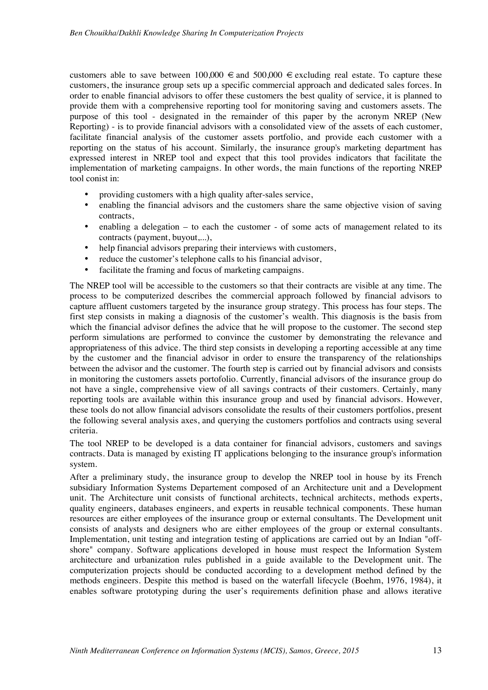customers able to save between  $100,000 \in \text{and } 500,000 \in \text{excluding real estate. To capture these}$ customers, the insurance group sets up a specific commercial approach and dedicated sales forces. In order to enable financial advisors to offer these customers the best quality of service, it is planned to provide them with a comprehensive reporting tool for monitoring saving and customers assets. The purpose of this tool - designated in the remainder of this paper by the acronym NREP (New Reporting) - is to provide financial advisors with a consolidated view of the assets of each customer, facilitate financial analysis of the customer assets portfolio, and provide each customer with a reporting on the status of his account. Similarly, the insurance group's marketing department has expressed interest in NREP tool and expect that this tool provides indicators that facilitate the implementation of marketing campaigns. In other words, the main functions of the reporting NREP tool conist in:

- providing customers with a high quality after-sales service,
- enabling the financial advisors and the customers share the same objective vision of saving contracts,
- enabling a delegation to each the customer of some acts of management related to its contracts (payment, buyout,...),
- help financial advisors preparing their interviews with customers,
- reduce the customer's telephone calls to his financial advisor,
- facilitate the framing and focus of marketing campaigns.

The NREP tool will be accessible to the customers so that their contracts are visible at any time. The process to be computerized describes the commercial approach followed by financial advisors to capture affluent customers targeted by the insurance group strategy. This process has four steps. The first step consists in making a diagnosis of the customer's wealth. This diagnosis is the basis from which the financial advisor defines the advice that he will propose to the customer. The second step perform simulations are performed to convince the customer by demonstrating the relevance and appropriateness of this advice. The third step consists in developing a reporting accessible at any time by the customer and the financial advisor in order to ensure the transparency of the relationships between the advisor and the customer. The fourth step is carried out by financial advisors and consists in monitoring the customers assets portofolio. Currently, financial advisors of the insurance group do not have a single, comprehensive view of all savings contracts of their customers. Certainly, many reporting tools are available within this insurance group and used by financial advisors. However, these tools do not allow financial advisors consolidate the results of their customers portfolios, present the following several analysis axes, and querying the customers portfolios and contracts using several criteria.

The tool NREP to be developed is a data container for financial advisors, customers and savings contracts. Data is managed by existing IT applications belonging to the insurance group's information system.

After a preliminary study, the insurance group to develop the NREP tool in house by its French subsidiary Information Systems Departement composed of an Architecture unit and a Development unit. The Architecture unit consists of functional architects, technical architects, methods experts, quality engineers, databases engineers, and experts in reusable technical components. These human resources are either employees of the insurance group or external consultants. The Development unit consists of analysts and designers who are either employees of the group or external consultants. Implementation, unit testing and integration testing of applications are carried out by an Indian "offshore" company. Software applications developed in house must respect the Information System architecture and urbanization rules published in a guide available to the Development unit. The computerization projects should be conducted according to a development method defined by the methods engineers. Despite this method is based on the waterfall lifecycle (Boehm, 1976, 1984), it enables software prototyping during the user's requirements definition phase and allows iterative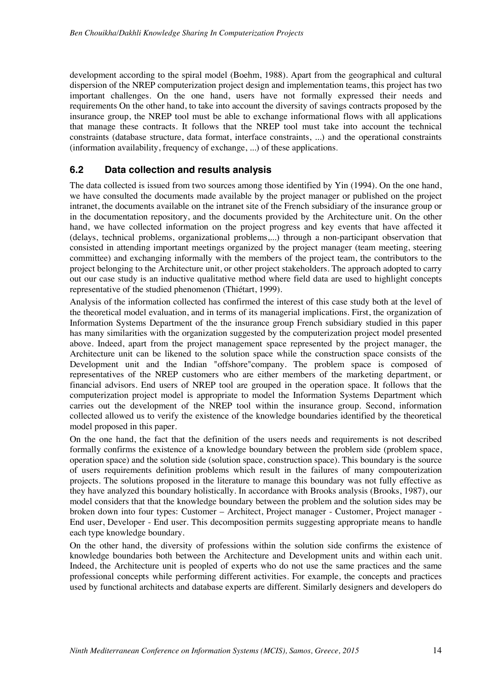development according to the spiral model (Boehm, 1988). Apart from the geographical and cultural dispersion of the NREP computerization project design and implementation teams, this project has two important challenges. On the one hand, users have not formally expressed their needs and requirements On the other hand, to take into account the diversity of savings contracts proposed by the insurance group, the NREP tool must be able to exchange informational flows with all applications that manage these contracts. It follows that the NREP tool must take into account the technical constraints (database structure, data format, interface constraints, ...) and the operational constraints (information availability, frequency of exchange, ...) of these applications.

#### **6.2 Data collection and results analysis**

The data collected is issued from two sources among those identified by Yin (1994). On the one hand, we have consulted the documents made available by the project manager or published on the project intranet, the documents available on the intranet site of the French subsidiary of the insurance group or in the documentation repository, and the documents provided by the Architecture unit. On the other hand, we have collected information on the project progress and key events that have affected it (delays, technical problems, organizational problems,...) through a non-participant observation that consisted in attending important meetings organized by the project manager (team meeting, steering committee) and exchanging informally with the members of the project team, the contributors to the project belonging to the Architecture unit, or other project stakeholders. The approach adopted to carry out our case study is an inductive qualitative method where field data are used to highlight concepts representative of the studied phenomenon (Thiétart, 1999).

Analysis of the information collected has confirmed the interest of this case study both at the level of the theoretical model evaluation, and in terms of its managerial implications. First, the organization of Information Systems Department of the the insurance group French subsidiary studied in this paper has many similarities with the organization suggested by the computerization project model presented above. Indeed, apart from the project management space represented by the project manager, the Architecture unit can be likened to the solution space while the construction space consists of the Development unit and the Indian "offshore"company. The problem space is composed of representatives of the NREP customers who are either members of the marketing department, or financial advisors. End users of NREP tool are grouped in the operation space. It follows that the computerization project model is appropriate to model the Information Systems Department which carries out the development of the NREP tool within the insurance group. Second, information collected allowed us to verify the existence of the knowledge boundaries identified by the theoretical model proposed in this paper.

On the one hand, the fact that the definition of the users needs and requirements is not described formally confirms the existence of a knowledge boundary between the problem side (problem space, operation space) and the solution side (solution space, construction space). This boundary is the source of users requirements definition problems which result in the failures of many compouterization projects. The solutions proposed in the literature to manage this boundary was not fully effective as they have analyzed this boundary holistically. In accordance with Brooks analysis (Brooks, 1987), our model considers that that the knowledge boundary between the problem and the solution sides may be broken down into four types: Customer – Architect, Project manager - Customer, Project manager - End user, Developer - End user. This decomposition permits suggesting appropriate means to handle each type knowledge boundary.

On the other hand, the diversity of professions within the solution side confirms the existence of knowledge boundaries both between the Architecture and Development units and within each unit. Indeed, the Architecture unit is peopled of experts who do not use the same practices and the same professional concepts while performing different activities. For example, the concepts and practices used by functional architects and database experts are different. Similarly designers and developers do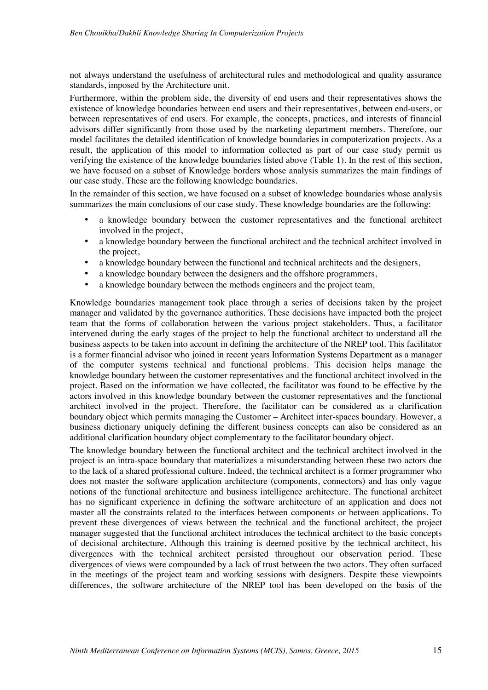not always understand the usefulness of architectural rules and methodological and quality assurance standards, imposed by the Architecture unit.

Furthermore, within the problem side, the diversity of end users and their representatives shows the existence of knowledge boundaries between end users and their representatives, between end-users, or between representatives of end users. For example, the concepts, practices, and interests of financial advisors differ significantly from those used by the marketing department members. Therefore, our model facilitates the detailed identification of knowledge boundaries in computerization projects. As a result, the application of this model to information collected as part of our case study permit us verifying the existence of the knowledge boundaries listed above (Table 1). In the rest of this section, we have focused on a subset of Knowledge borders whose analysis summarizes the main findings of our case study. These are the following knowledge boundaries.

In the remainder of this section, we have focused on a subset of knowledge boundaries whose analysis summarizes the main conclusions of our case study. These knowledge boundaries are the following:

- a knowledge boundary between the customer representatives and the functional architect involved in the project,
- a knowledge boundary between the functional architect and the technical architect involved in the project,
- a knowledge boundary between the functional and technical architects and the designers,
- a knowledge boundary between the designers and the offshore programmers,
- a knowledge boundary between the methods engineers and the project team.

Knowledge boundaries management took place through a series of decisions taken by the project manager and validated by the governance authorities. These decisions have impacted both the project team that the forms of collaboration between the various project stakeholders. Thus, a facilitator intervened during the early stages of the project to help the functional architect to understand all the business aspects to be taken into account in defining the architecture of the NREP tool. This facilitator is a former financial advisor who joined in recent years Information Systems Department as a manager of the computer systems technical and functional problems. This decision helps manage the knowledge boundary between the customer representatives and the functional architect involved in the project. Based on the information we have collected, the facilitator was found to be effective by the actors involved in this knowledge boundary between the customer representatives and the functional architect involved in the project. Therefore, the facilitator can be considered as a clarification boundary object which permits managing the Customer – Architect inter-spaces boundary. However, a business dictionary uniquely defining the different business concepts can also be considered as an additional clarification boundary object complementary to the facilitator boundary object.

The knowledge boundary between the functional architect and the technical architect involved in the project is an intra-space boundary that materializes a misunderstanding between these two actors due to the lack of a shared professional culture. Indeed, the technical architect is a former programmer who does not master the software application architecture (components, connectors) and has only vague notions of the functional architecture and business intelligence architecture. The functional architect has no significant experience in defining the software architecture of an application and does not master all the constraints related to the interfaces between components or between applications. To prevent these divergences of views between the technical and the functional architect, the project manager suggested that the functional architect introduces the technical architect to the basic concepts of decisional architecture. Although this training is deemed positive by the technical architect, his divergences with the technical architect persisted throughout our observation period. These divergences of views were compounded by a lack of trust between the two actors. They often surfaced in the meetings of the project team and working sessions with designers. Despite these viewpoints differences, the software architecture of the NREP tool has been developed on the basis of the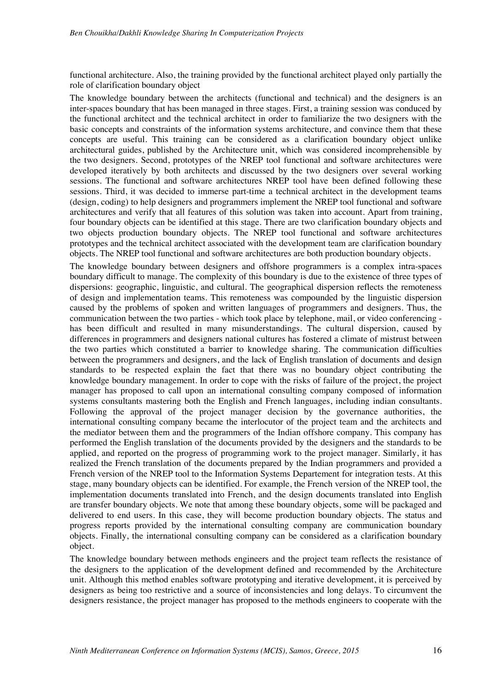functional architecture. Also, the training provided by the functional architect played only partially the role of clarification boundary object

The knowledge boundary between the architects (functional and technical) and the designers is an inter-spaces boundary that has been managed in three stages. First, a training session was conduced by the functional architect and the technical architect in order to familiarize the two designers with the basic concepts and constraints of the information systems architecture, and convince them that these concepts are useful. This training can be considered as a clarification boundary object unlike architectural guides, published by the Architecture unit, which was considered incomprehensible by the two designers. Second, prototypes of the NREP tool functional and software architectures were developed iteratively by both architects and discussed by the two designers over several working sessions. The functional and software architectures NREP tool have been defined following these sessions. Third, it was decided to immerse part-time a technical architect in the development teams (design, coding) to help designers and programmers implement the NREP tool functional and software architectures and verify that all features of this solution was taken into account. Apart from training, four boundary objects can be identified at this stage. There are two clarification boundary objects and two objects production boundary objects. The NREP tool functional and software architectures prototypes and the technical architect associated with the development team are clarification boundary objects. The NREP tool functional and software architectures are both production boundary objects.

The knowledge boundary between designers and offshore programmers is a complex intra-spaces boundary difficult to manage. The complexity of this boundary is due to the existence of three types of dispersions: geographic, linguistic, and cultural. The geographical dispersion reflects the remoteness of design and implementation teams. This remoteness was compounded by the linguistic dispersion caused by the problems of spoken and written languages of programmers and designers. Thus, the communication between the two parties - which took place by telephone, mail, or video conferencing has been difficult and resulted in many misunderstandings. The cultural dispersion, caused by differences in programmers and designers national cultures has fostered a climate of mistrust between the two parties which constituted a barrier to knowledge sharing. The communication difficulties between the programmers and designers, and the lack of English translation of documents and design standards to be respected explain the fact that there was no boundary object contributing the knowledge boundary management. In order to cope with the risks of failure of the project, the project manager has proposed to call upon an international consulting company composed of information systems consultants mastering both the English and French languages, including indian consultants. Following the approval of the project manager decision by the governance authorities, the international consulting company became the interlocutor of the project team and the architects and the mediator between them and the programmers of the Indian offshore company. This company has performed the English translation of the documents provided by the designers and the standards to be applied, and reported on the progress of programming work to the project manager. Similarly, it has realized the French translation of the documents prepared by the Indian programmers and provided a French version of the NREP tool to the Information Systems Departement for integration tests. At this stage, many boundary objects can be identified. For example, the French version of the NREP tool, the implementation documents translated into French, and the design documents translated into English are transfer boundary objects. We note that among these boundary objects, some will be packaged and delivered to end users. In this case, they will become production boundary objects. The status and progress reports provided by the international consulting company are communication boundary objects. Finally, the international consulting company can be considered as a clarification boundary object.

The knowledge boundary between methods engineers and the project team reflects the resistance of the designers to the application of the development defined and recommended by the Architecture unit. Although this method enables software prototyping and iterative development, it is perceived by designers as being too restrictive and a source of inconsistencies and long delays. To circumvent the designers resistance, the project manager has proposed to the methods engineers to cooperate with the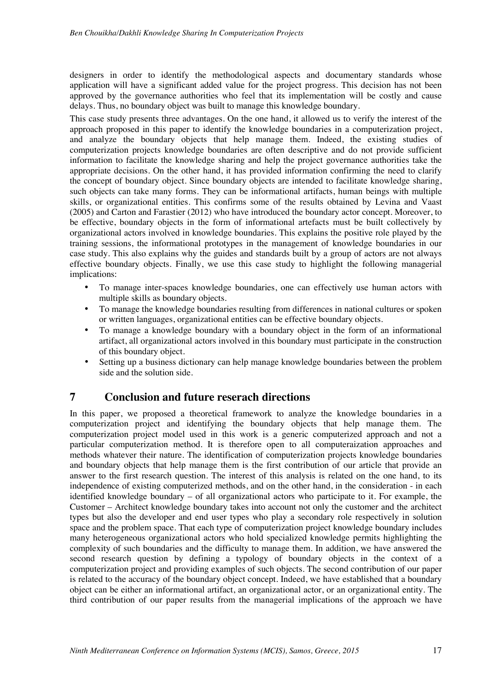designers in order to identify the methodological aspects and documentary standards whose application will have a significant added value for the project progress. This decision has not been approved by the governance authorities who feel that its implementation will be costly and cause delays. Thus, no boundary object was built to manage this knowledge boundary.

This case study presents three advantages. On the one hand, it allowed us to verify the interest of the approach proposed in this paper to identify the knowledge boundaries in a computerization project, and analyze the boundary objects that help manage them. Indeed, the existing studies of computerization projects knowledge boundaries are often descriptive and do not provide sufficient information to facilitate the knowledge sharing and help the project governance authorities take the appropriate decisions. On the other hand, it has provided information confirming the need to clarify the concept of boundary object. Since boundary objects are intended to facilitate knowledge sharing, such objects can take many forms. They can be informational artifacts, human beings with multiple skills, or organizational entities. This confirms some of the results obtained by Levina and Vaast (2005) and Carton and Farastier (2012) who have introduced the boundary actor concept. Moreover, to be effective, boundary objects in the form of informational artefacts must be built collectively by organizational actors involved in knowledge boundaries. This explains the positive role played by the training sessions, the informational prototypes in the management of knowledge boundaries in our case study. This also explains why the guides and standards built by a group of actors are not always effective boundary objects. Finally, we use this case study to highlight the following managerial implications:

- To manage inter-spaces knowledge boundaries, one can effectively use human actors with multiple skills as boundary objects.
- To manage the knowledge boundaries resulting from differences in national cultures or spoken or written languages, organizational entities can be effective boundary objects.
- To manage a knowledge boundary with a boundary object in the form of an informational artifact, all organizational actors involved in this boundary must participate in the construction of this boundary object.
- Setting up a business dictionary can help manage knowledge boundaries between the problem side and the solution side.

# **7 Conclusion and future reserach directions**

In this paper, we proposed a theoretical framework to analyze the knowledge boundaries in a computerization project and identifying the boundary objects that help manage them. The computerization project model used in this work is a generic computerized approach and not a particular computerization method. It is therefore open to all computeraization approaches and methods whatever their nature. The identification of computerization projects knowledge boundaries and boundary objects that help manage them is the first contribution of our article that provide an answer to the first research question. The interest of this analysis is related on the one hand, to its independence of existing computerized methods, and on the other hand, in the consideration - in each identified knowledge boundary – of all organizational actors who participate to it. For example, the Customer – Architect knowledge boundary takes into account not only the customer and the architect types but also the developer and end user types who play a secondary role respectively in solution space and the problem space. That each type of computerization project knowledge boundary includes many heterogeneous organizational actors who hold specialized knowledge permits highlighting the complexity of such boundaries and the difficulty to manage them. In addition, we have answered the second research question by defining a typology of boundary objects in the context of a computerization project and providing examples of such objects. The second contribution of our paper is related to the accuracy of the boundary object concept. Indeed, we have established that a boundary object can be either an informational artifact, an organizational actor, or an organizational entity. The third contribution of our paper results from the managerial implications of the approach we have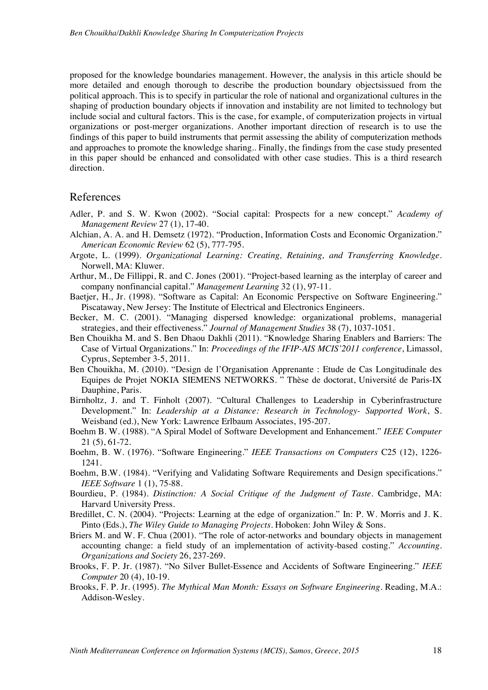proposed for the knowledge boundaries management. However, the analysis in this article should be more detailed and enough thorough to describe the production boundary objectsissued from the political approach. This is to specify in particular the role of national and organizational cultures in the shaping of production boundary objects if innovation and instability are not limited to technology but include social and cultural factors. This is the case, for example, of computerization projects in virtual organizations or post-merger organizations. Another important direction of research is to use the findings of this paper to build instruments that permit assessing the ability of computerization methods and approaches to promote the knowledge sharing.. Finally, the findings from the case study presented in this paper should be enhanced and consolidated with other case studies. This is a third research direction.

#### References

- Adler, P. and S. W. Kwon (2002). "Social capital: Prospects for a new concept." *Academy of Management Review* 27 (1), 17-40.
- Alchian, A. A. and H. Demsetz (1972). "Production, Information Costs and Economic Organization." *American Economic Review* 62 (5), 777-795.
- Argote, L. (1999). *Organizational Learning: Creating, Retaining, and Transferring Knowledge*. Norwell, MA: Kluwer.
- Arthur, M., De Fillippi, R. and C. Jones (2001). "Project-based learning as the interplay of career and company nonfinancial capital." *Management Learning* 32 (1), 97-11.
- Baetjer, H., Jr. (1998). "Software as Capital: An Economic Perspective on Software Engineering." Piscataway, New Jersey: The Institute of Electrical and Electronics Engineers.
- Becker, M. C. (2001). "Managing dispersed knowledge: organizational problems, managerial strategies, and their effectiveness." *Journal of Management Studies* 38 (7), 1037-1051.
- Ben Chouikha M. and S. Ben Dhaou Dakhli (2011). "Knowledge Sharing Enablers and Barriers: The Case of Virtual Organizations." In: *Proceedings of the IFIP-AIS MCIS'2011 conference*, Limassol, Cyprus, September 3-5, 2011.
- Ben Chouikha, M. (2010). "Design de l'Organisation Apprenante : Etude de Cas Longitudinale des Equipes de Projet NOKIA SIEMENS NETWORKS. " Thèse de doctorat, Université de Paris-IX Dauphine, Paris.
- Birnholtz, J. and T. Finholt (2007). "Cultural Challenges to Leadership in Cyberinfrastructure Development." In: *Leadership at a Distance: Research in Technology- Supported Work*, S. Weisband (ed.), New York: Lawrence Erlbaum Associates, 195-207.
- Boehm B. W. (1988). "A Spiral Model of Software Development and Enhancement." *IEEE Computer* 21 (5), 61-72.
- Boehm, B. W. (1976). "Software Engineering." *IEEE Transactions on Computers* C25 (12), 1226- 1241.
- Boehm, B.W. (1984). "Verifying and Validating Software Requirements and Design specifications." *IEEE Software* 1 (1), 75-88.
- Bourdieu, P. (1984). *Distinction: A Social Critique of the Judgment of Taste*. Cambridge, MA: Harvard University Press.
- Bredillet, C. N. (2004). "Projects: Learning at the edge of organization." In: P. W. Morris and J. K. Pinto (Eds.), *The Wiley Guide to Managing Projects*. Hoboken: John Wiley & Sons.
- Briers M. and W. F. Chua (2001). "The role of actor-networks and boundary objects in management accounting change: a field study of an implementation of activity-based costing." *Accounting. Organizations and Society* 26, 237-269.
- Brooks, F. P. Jr. (1987). "No Silver Bullet-Essence and Accidents of Software Engineering." *IEEE Computer* 20 (4), 10-19.
- Brooks, F. P. Jr. (1995). *The Mythical Man Month: Essays on Software Engineering*. Reading, M.A.: Addison-Wesley.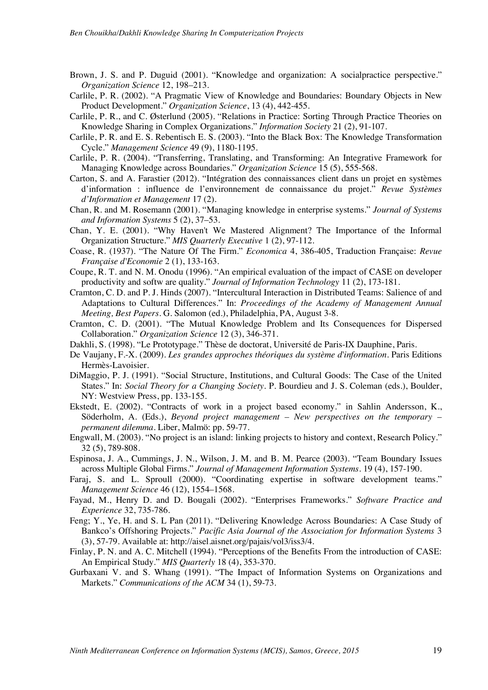- Brown, J. S. and P. Duguid (2001). "Knowledge and organization: A socialpractice perspective." *Organization Science* 12, 198–213.
- Carlile, P. R. (2002). "A Pragmatic View of Knowledge and Boundaries: Boundary Objects in New Product Development." *Organization Science*, 13 (4), 442-455.
- Carlile, P. R., and C. Østerlund (2005). "Relations in Practice: Sorting Through Practice Theories on Knowledge Sharing in Complex Organizations." *Information Society* 21 (2), 91-107.
- Carlile, P. R. and E. S. Rebentisch E. S. (2003). "Into the Black Box: The Knowledge Transformation Cycle." *Management Science* 49 (9), 1180-1195.
- Carlile, P. R. (2004). "Transferring, Translating, and Transforming: An Integrative Framework for Managing Knowledge across Boundaries." *Organization Science* 15 (5), 555-568.
- Carton, S. and A. Farastier (2012). "Intégration des connaissances client dans un projet en systèmes d'information : influence de l'environnement de connaissance du projet." *Revue Systèmes d'Information et Management* 17 (2).
- Chan, R. and M. Rosemann (2001). "Managing knowledge in enterprise systems." *Journal of Systems and Information Systems* 5 (2), 37–53.
- Chan, Y. E. (2001). "Why Haven't We Mastered Alignment? The Importance of the Informal Organization Structure." *MIS Quarterly Executive* 1 (2), 97-112.
- Coase, R. (1937). "The Nature Of The Firm." *Economica* 4, 386-405, Traduction Française: *Revue Française d'Economie* 2 (1), 133-163.
- Coupe, R. T. and N. M. Onodu (1996). "An empirical evaluation of the impact of CASE on developer productivity and softw are quality." *Journal of Information Technology* 11 (2), 173-181.
- Cramton, C. D. and P. J. Hinds (2007). "Intercultural Interaction in Distributed Teams: Salience of and Adaptations to Cultural Differences." In: *Proceedings of the Academy of Management Annual Meeting, Best Papers*. G. Salomon (ed.), Philadelphia, PA, August 3-8.
- Cramton, C. D. (2001). "The Mutual Knowledge Problem and Its Consequences for Dispersed Collaboration." *Organization Science* 12 (3), 346-371.
- Dakhli, S. (1998). "Le Prototypage." Thèse de doctorat, Université de Paris-IX Dauphine, Paris.
- De Vaujany, F.-X. (2009). *Les grandes approches théoriques du système d'information*. Paris Editions Hermès-Lavoisier.
- DiMaggio, P. J. (1991). "Social Structure, Institutions, and Cultural Goods: The Case of the United States." In: *Social Theory for a Changing Society*. P. Bourdieu and J. S. Coleman (eds.), Boulder, NY: Westview Press, pp. 133-155.
- Ekstedt, E. (2002). "Contracts of work in a project based economy." in Sahlin Andersson, K., Söderholm, A. (Eds.), *Beyond project management – New perspectives on the temporary – permanent dilemma*. Liber, Malmö: pp. 59-77.
- Engwall, M. (2003). "No project is an island: linking projects to history and context, Research Policy." 32 (5), 789-808.
- Espinosa, J. A., Cummings, J. N., Wilson, J. M. and B. M. Pearce (2003). "Team Boundary Issues across Multiple Global Firms." *Journal of Management Information Systems*. 19 (4), 157-190.
- Faraj, S. and L. Sproull (2000). "Coordinating expertise in software development teams." *Management Science* 46 (12), 1554–1568.
- Fayad, M., Henry D. and D. Bougali (2002). "Enterprises Frameworks." *Software Practice and Experience* 32, 735-786.
- Feng; Y., Ye, H. and S. L Pan (2011). "Delivering Knowledge Across Boundaries: A Case Study of Bankco's Offshoring Projects." *Pacific Asia Journal of the Association for Information Systems* 3 (3), 57-79. Available at: http://aisel.aisnet.org/pajais/vol3/iss3/4.
- Finlay, P. N. and A. C. Mitchell (1994). "Perceptions of the Benefits From the introduction of CASE: An Empirical Study." *MIS Quarterly* 18 (4), 353-370.
- Gurbaxani V. and S. Whang (1991). "The Impact of Information Systems on Organizations and Markets." *Communications of the ACM* 34 (1), 59-73.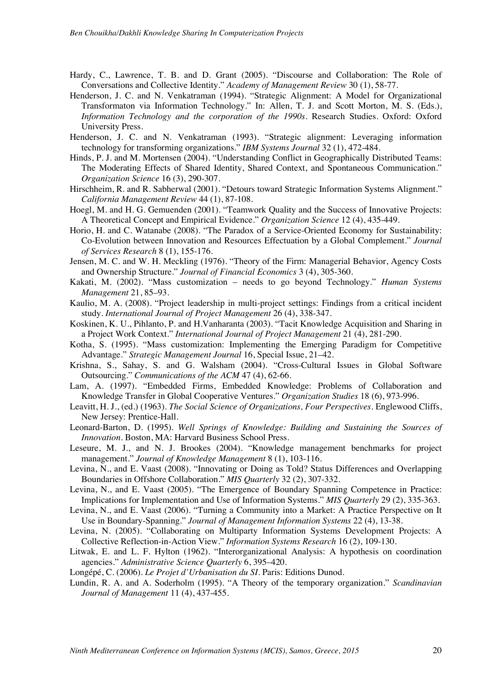- Hardy, C., Lawrence, T. B. and D. Grant (2005). "Discourse and Collaboration: The Role of Conversations and Collective Identity." *Academy of Management Review* 30 (1), 58-77.
- Henderson, J. C. and N. Venkatraman (1994). "Strategic Alignment: A Model for Organizational Transformaton via Information Technology." In: Allen, T. J. and Scott Morton, M. S. (Eds.), *Information Technology and the corporation of the 1990s*. Research Studies. Oxford: Oxford University Press.
- Henderson, J. C. and N. Venkatraman (1993). "Strategic alignment: Leveraging information technology for transforming organizations." *IBM Systems Journal* 32 (1), 472-484.
- Hinds, P. J. and M. Mortensen (2004). "Understanding Conflict in Geographically Distributed Teams: The Moderating Effects of Shared Identity, Shared Context, and Spontaneous Communication." *Organization Science* 16 (3), 290-307.
- Hirschheim, R. and R. Sabherwal (2001). "Detours toward Strategic Information Systems Alignment." *California Management Review* 44 (1), 87-108.
- Hoegl, M. and H. G. Gemuenden (2001). "Teamwork Quality and the Success of Innovative Projects: A Theoretical Concept and Empirical Evidence." *Organization Science* 12 (4), 435-449.
- Horio, H. and C. Watanabe (2008). "The Paradox of a Service-Oriented Economy for Sustainability: Co-Evolution between Innovation and Resources Effectuation by a Global Complement." *Journal of Services Research* 8 (1), 155-176.
- Jensen, M. C. and W. H. Meckling (1976). "Theory of the Firm: Managerial Behavior, Agency Costs and Ownership Structure." *Journal of Financial Economics* 3 (4), 305-360.
- Kakati, M. (2002). "Mass customization needs to go beyond Technology." *Human Systems Management* 21, 85–93.
- Kaulio, M. A. (2008). "Project leadership in multi-project settings: Findings from a critical incident study. *International Journal of Project Management* 26 (4), 338-347.
- Koskinen, K. U., Pihlanto, P. and H.Vanharanta (2003). "Tacit Knowledge Acquisition and Sharing in a Project Work Context." *International Journal of Project Management* 21 (4), 281-290.
- Kotha, S. (1995). "Mass customization: Implementing the Emerging Paradigm for Competitive Advantage." *Strategic Management Journal* 16, Special Issue, 21–42.
- Krishna, S., Sahay, S. and G. Walsham (2004). "Cross-Cultural Issues in Global Software Outsourcing." *Communications of the ACM* 47 (4), 62-66.
- Lam, A. (1997). "Embedded Firms, Embedded Knowledge: Problems of Collaboration and Knowledge Transfer in Global Cooperative Ventures." *Organization Studies* 18 (6), 973-996.
- Leavitt, H. J., (ed.) (1963). *The Social Science of Organizations, Four Perspectives*. Englewood Cliffs, New Jersey: Prentice-Hall.
- Leonard-Barton, D. (1995). *Well Springs of Knowledge: Building and Sustaining the Sources of Innovation*. Boston, MA: Harvard Business School Press.
- Leseure, M. J., and N. J. Brookes (2004). "Knowledge management benchmarks for project management." *Journal of Knowledge Management* 8 (1), 103-116.
- Levina, N., and E. Vaast (2008). "Innovating or Doing as Told? Status Differences and Overlapping Boundaries in Offshore Collaboration." *MIS Quarterly* 32 (2), 307-332.
- Levina, N., and E. Vaast (2005). "The Emergence of Boundary Spanning Competence in Practice: Implications for Implementation and Use of Information Systems." *MIS Quarterly* 29 (2), 335-363.
- Levina, N., and E. Vaast (2006). "Turning a Community into a Market: A Practice Perspective on It Use in Boundary-Spanning." *Journal of Management Information Systems* 22 (4), 13-38.
- Levina, N. (2005). "Collaborating on Multiparty Information Systems Development Projects: A Collective Reflection-in-Action View." *Information Systems Research* 16 (2), 109-130.
- Litwak, E. and L. F. Hylton (1962). "Interorganizational Analysis: A hypothesis on coordination agencies." *Administrative Science Quarterly* 6, 395–420.
- Longépé, C. (2006). *Le Projet d'Urbanisation du SI*. Paris: Editions Dunod.
- Lundin, R. A. and A. Soderholm (1995). "A Theory of the temporary organization." *Scandinavian Journal of Management* 11 (4), 437-455.